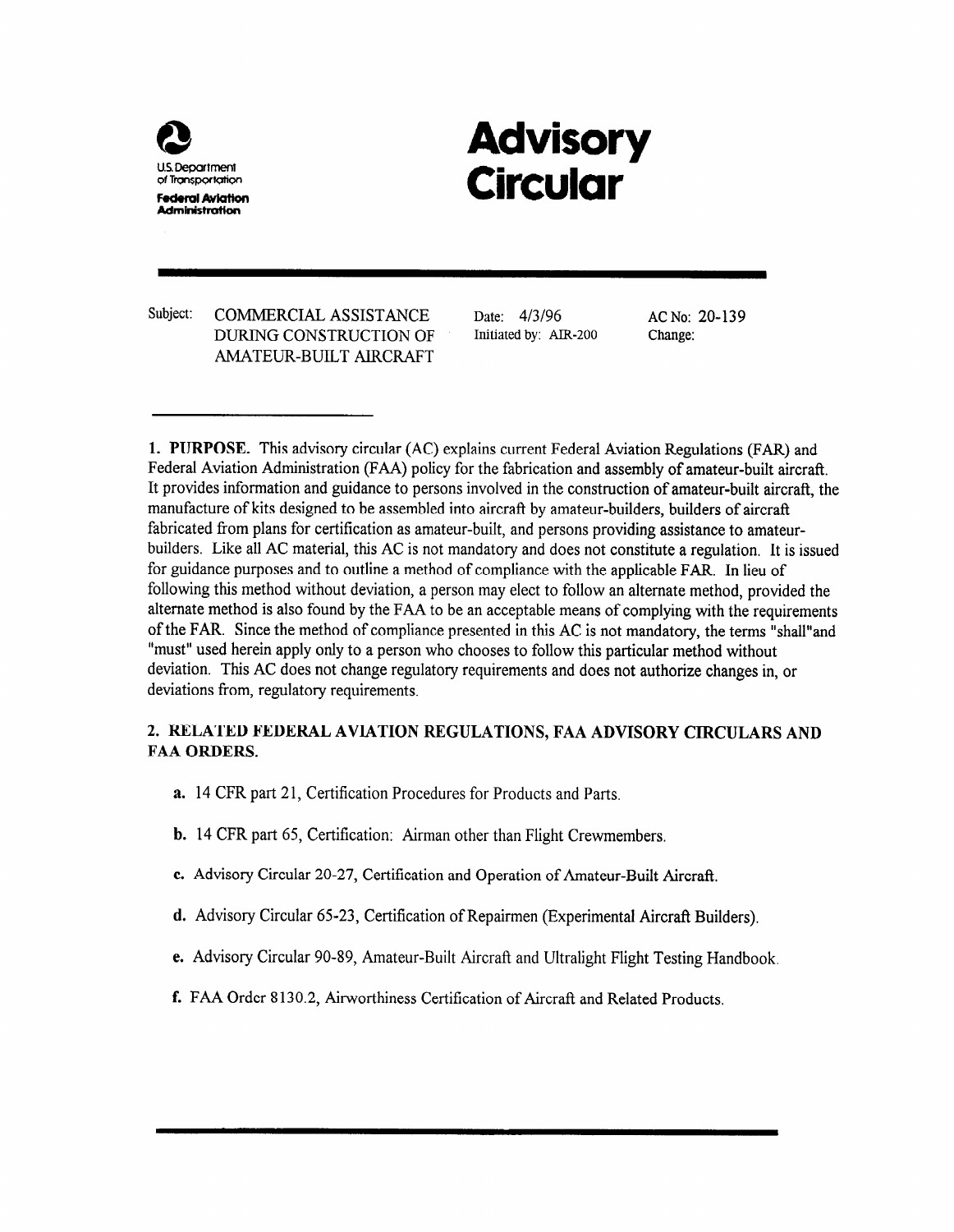

# Advisory Circular

Subject: COMMERCIAL ASSISTANCE DURING CONSTRUCTION OF AMATEUR-BUILT AIRCRAFT

Date: 4/3/96 AC No: 20-139 Initiated by: AIR-200 Change:

1. PURPOSE. This advisory circular (AC) explains current Federal Aviation Regulations (FAR) and Federal Aviation Administration (FAA) policy for the fabrication and assembly of amateur-built aircraft. It provides information and guidance to persons involved in the construction of amateur-built aircraft, the manufacture of kits designed to be assembled into aircraft by amateur-builders, builders of aircraft fabricated from plans for certification as amateur-built, and persons providing assistance to amateurbuilders, Like all AC material, this AC is not mandatory and does not constitute a regulation. It is issued for guidance purposes and to outline a method of compliance with the applicable FAR. In lieu of following this method without deviation, a person may elect to follow an alternate method, provided the alternate method is also found by the FAA to be an acceptable means of complying with the requirements of the FAR. Since the method of compliance presented in this AC is not mandatory, the terms "shall"and "must" used herein apply only to a person who chooses to follow this particular method without deviation. This AC does not change regulatory requirements and does not authorize changes in, or deviations from, regulatory requirements.

# 2. RELATED FEDERAL AVIATION REGULATIONS, FAA ADVISORY CIRCULARS AND FAA ORDERS.

- a. 14 CFR part 21, Certification Procedures for Products and Parts.
- b. 14 CFR part 65, Certification: Airman other than Flight Crewmembers.
- c. Advisory Circular 20-27, Certification and Operation of Amateur-Built Aircraft.
- d. Advisory Circular 65-23, Certification of Repairmen (Experimental Aircraft Builders).
- e. Advisory Circular 90-89, Amateur-Built Aircrafl and Ultralight Flight Testing Handbook
- f. FAA Order 8130.2, Airworthiness Certification of Aircraft and Related Products.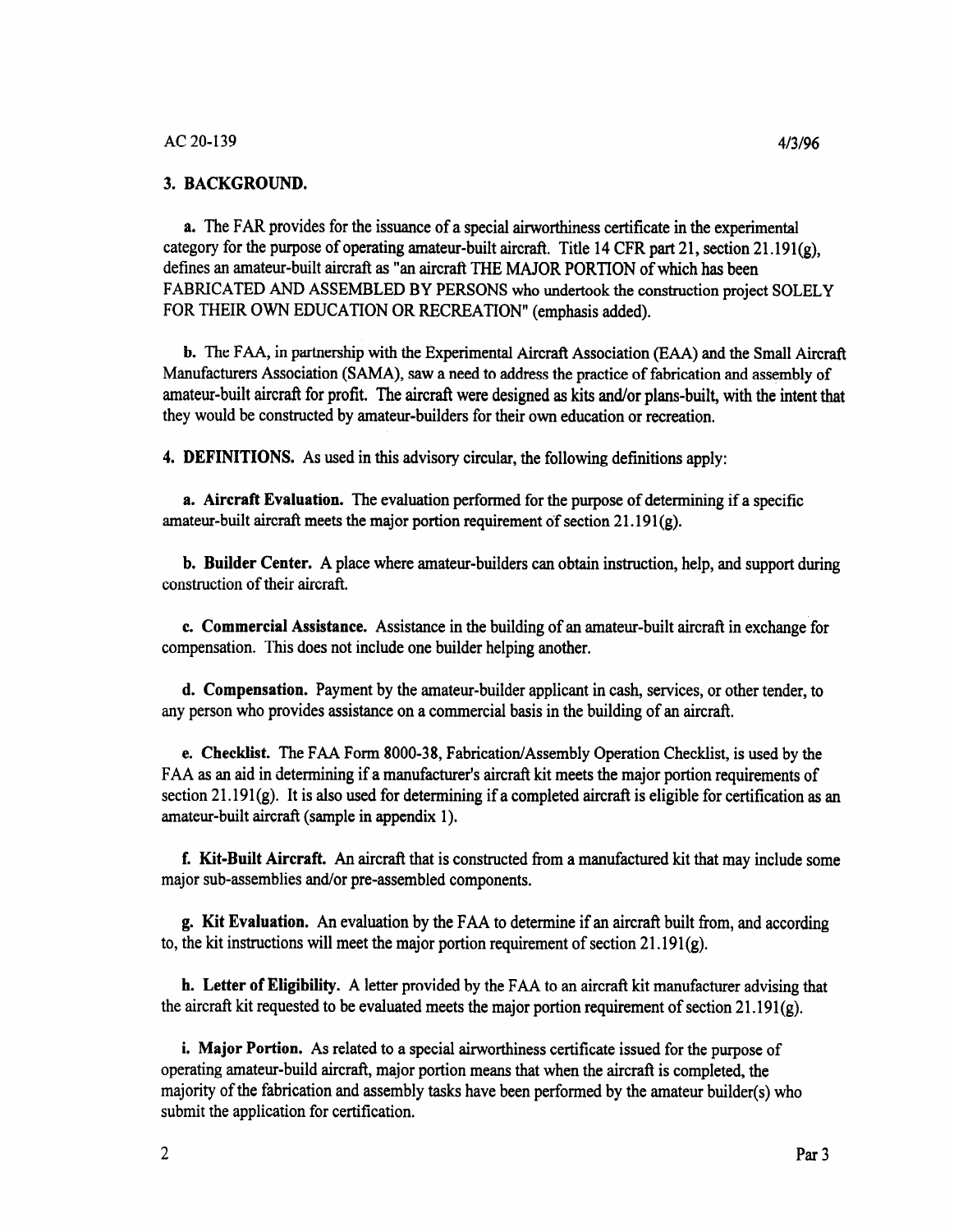#### 3. BACKGROUND.

a. The FAR provides for the issuance of a special airworthiness certificate in the experimental category for the purpose of operating amateur-built aircraft. Title 14 CFR part 21, section 21.191(g), defines an amateur-built aircraft as "an aircraft THE MAJOR PORTION of which has been FABRICATED AND ASSEMBLED BY PERSONS who undertook the construction project SOLELY FOR THEIR OWN EDUCATION OR RECREATION" (emphasis added).

b. The FAA, in partnership with the Experimental Aircraft Association (EAA) and the Small Aircraft Manufacturers Association (SAMA), saw a need to address the practice of fabrication and assembly of amateur-built aircraft for profit. The aircraft were designed as kits and/or plans-built, with the intent that they would be constructed by amateur-builders for their own education or recreation.

4. DEFINITIONS. As used in this advisory circular, the following definitions apply:

a. Aircraft Evaluation. The evaluation performed for the purpose of determining if a specific amateur-built aircraft meets the major portion requirement of section  $21.191(g)$ .

b. Builder Center. A place where amateur-builders can obtain instruction, help, and support during construction of their aircraft.

c. Commercial Assistance. Assistance in the building of an amateur-built aircraft in exchange for compensation. This does not include one builder helping another.

d. Compensation. Payment by the amateur-builder applicant in cash, services, or other tender, to any person who provides assistance on a commercial basis in the building of an aircraft.

e. Checklist. The FAA Form 8000-38, Fabrication/Assembly Operation Checklist, is used by the FAA as an aid in determining if a manufacturer's aircraft kit meets the major portion requirements of section 21.191 $(g)$ . It is also used for determining if a completed aircraft is eligible for certification as an amateur-built aircraft (sample in appendix 1).

f. Kit-Built Aircraft. An aircraft that is constructed from a manufactured kit that may include some major sub-assemblies and/or pre-assembled components.

g. Kit Evaluation. An evaluation by the FAA to determine if an aircraft built from, and according to, the kit instructions will meet the major portion requirement of section  $21.191(g)$ .

h. Letter of Eligibility. A letter provided by the FAA to an aircraft kit manufacturer advising that the aircraft kit requested to be evaluated meets the major portion requirement of section  $21.191(g)$ .

i, Major Portion. As related to a special airworthiness certificate issued for the purpose of operating amateur-build aircraft, major portion means that when the aircraft is completed, the majority of the fabrication and assembly tasks have been performed by the amateur builder(s) who submit the application for certification.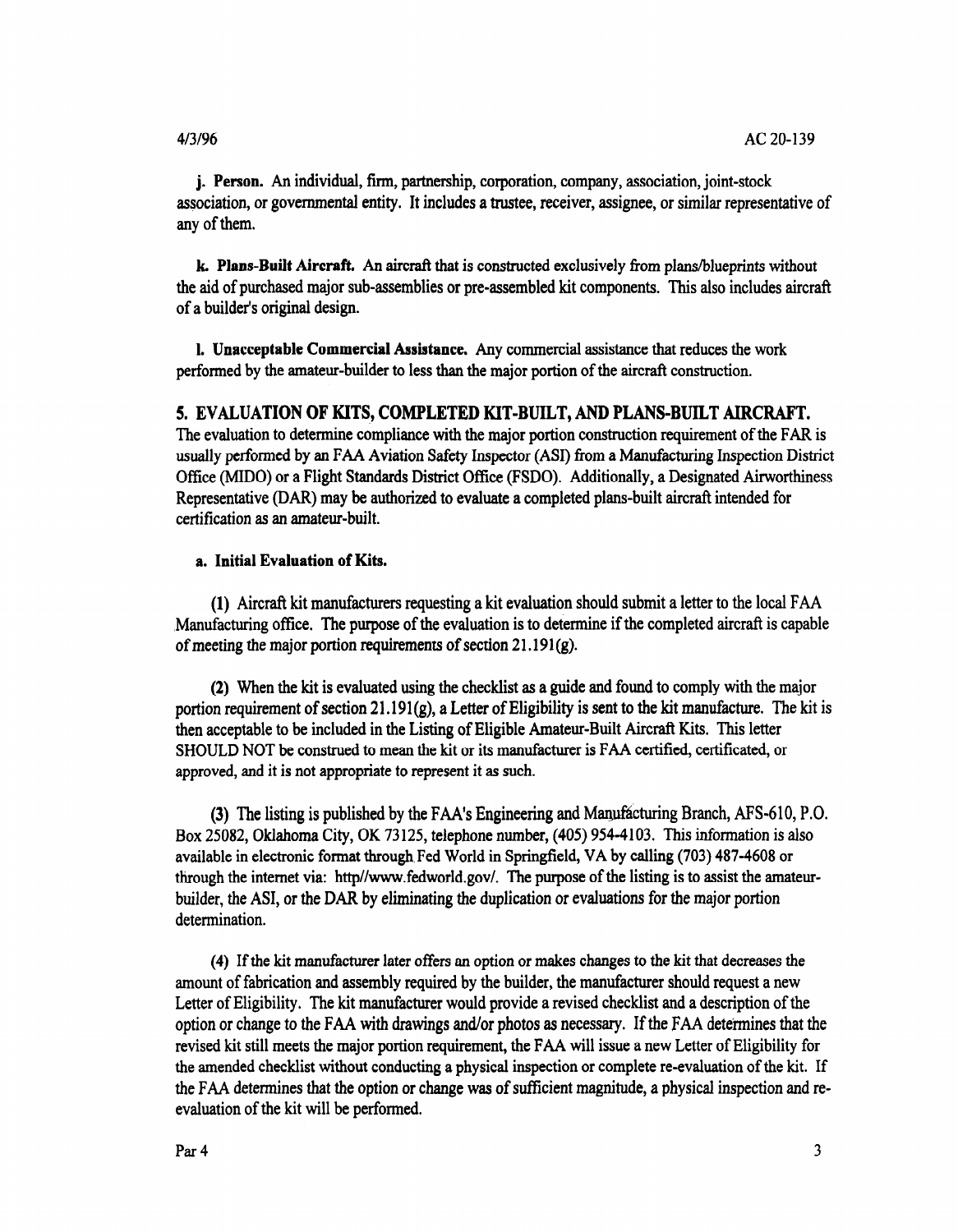j. Person. An individual, firm, partnership, corporation, company, association, joint-stock association, or governmental entity. It includes a trustee, receiver, assignee, or similar representative of any of them.

k, Plans-Built Aircraft. An aircraft that is constructed exclusively from plans/blueprints without the aid of purchased major sub-assemblies or pre-assembled kit components. This also includes aircraft of a builder's original design.

I. Unacceptable Commercial Assistance. Any commercial assistance that reduces the work performed by the amateur-builder to less than the major portion of the aircraft construction.

#### 5. EVALUATION OF KITS, COMPLETED KIT-BUILT, AND PLANS-BUILT AIRCRAFT.

The evaluation to determine compliance with the major portion construction requirement of the FAR is usually performed by an FAA Aviation Safety Inspector (ASI) from a Manufacturing Inspection District Office (MIDO) or a Flight Standards District Office (FSDO). Additionally, a Designated Airworthiness Representative (DAR) may be authorized to evaluate a completed plans-built aircraft intended for certification as an amateur-built.

#### a. Initial Evaluation of Kits.

(1) Aircraft kit manufacturers requesting a kit evaluation should submit a letter to the local FAA ,Manufacturing office. The purpose of the evaluation is to determine if the completed aircraft is capable of meeting the major portion requirements of section  $21.191(g)$ .

(2) When the kit is evaluated using the checklist as a guide and found to comply with the major portion requirement of section  $21.191(g)$ , a Letter of Eligibility is sent to the kit manufacture. The kit is then acceptable to be included in the Listing of Eligible Amateur-Built Aircraft Kits. This letter SHOULD NOT be construed to mean the kit or its manufacturer is FAA certified, certificated, or approved, and it is not appropriate to represent it as such.

(3) The listing is published by the FAA's Engineering and Manufacturing Branch, AFS-610, P.O. Box 25082, Oklahoma City, OK 73 125, telephone number, (405) 954-4103. This information is also available in electronic format through. Fed World in Springfield, VA by calling (703) 487-4608 or through the internet via: http//www.fedworld.gov/. The purpose of the listing is to assist the amateurbuilder, the ASI, or the DAR by eliminating the duplication or evaluations for the major portion determination.

(4) If the kit manufacturer later offers an option or makes changes to the kit that decreases the amount of fabrication and assembly required by the builder, the manufacturer should request a new Letter of Eligibility. The kit manufacturer would provide a revised checklist and a description of the option or change to the FAA with drawings and/or photos as necessary. If the FAA determines that the revised kit still meets the major portion requirement, the FAA will issue a new Letter of Eligibility for the amended checklist without conducting a physical inspection or complete re-evaluation of the kit. If the FAA determines that the option or change was of sufficient magnitude, a physical inspection and reevaluation of the kit will be performed.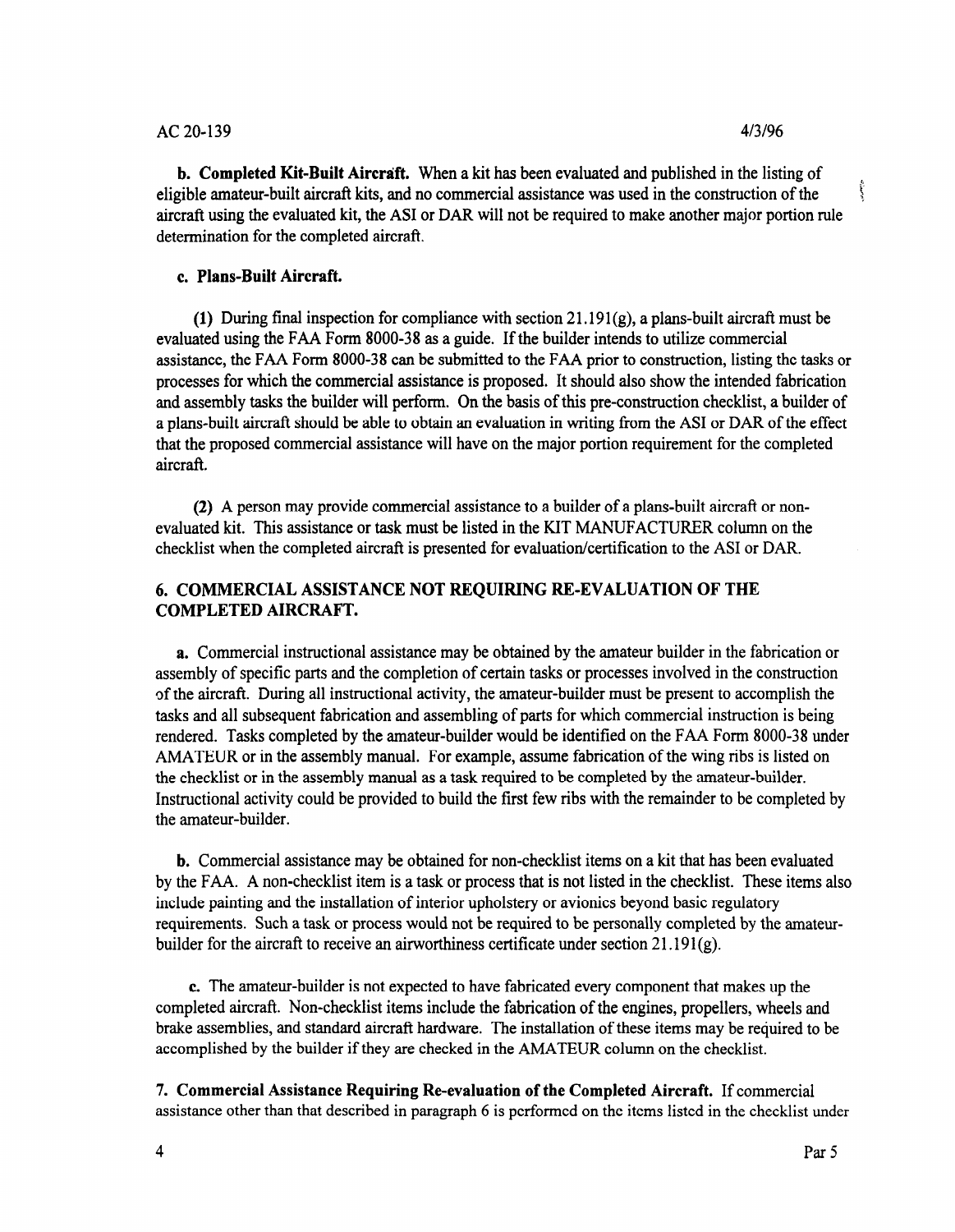#### AC 20-139 4/3/96

**b. Completed Kit-Built Aircraft.** When a kit has been evaluated and published in the listing of  $\frac{1}{2}$  in the amateur-built aircraft kits and no commercial assistance was used in the construction of the eligible amateur-built aircraft kits, and no commercial assistance was used in the construction of the x aircraft using the evaluated kit, the AS1 or DAR will not be required to make another major portion rule determination for the completed aircraft.

#### c. Plans-Built Aircraft.

(1) During final inspection for compliance with section  $21.191(g)$ , a plans-built aircraft must be evaluated using the FAA Form 8000-38 as a guide. If the builder intends to utilize commercial assistance, the FAA Form 8000-38 can be submitted to the FAA prior to construction, listing the tasks or processes for which the commercial assistance is proposed. It should also show the intended fabrication and assembly tasks the builder will perform. On the basis of this pre-construction checklist, a builder of a plans-built aircraft should be able to obtain an evaluation in writing from the AS1 or DAR of the effect that the proposed commercial assistance will have on the major portion requirement for the completed aircraft.

(2) A person may provide commercial assistance to a builder of a plans-built aircraft or nonevaluated kit. This assistance or task must be listed in the KIT MANUFACTURER column on the checklist when the completed aircraft is presented for evaluation/certification to the AS1 or DAR.

# 6. COMMERCIAL ASSISTANCE NOT REQUIRING RE-EVALUATION OF THE COMPLETED AIRCRAFT.

a. Commercial instructional assistance may be obtained by the amateur builder in the fabrication or assembly of specific parts and the completion of certain tasks or processes involved in the construction of the aircraft. During all instructional activity, the amateur-builder must be present to accomplish the tasks and all subsequent fabrication and assembling of parts for which commercial instruction is being rendered. Tasks completed by the amateur-builder would be identified on the FAA Form 8000-38 under AMATEUR or in the assembly manual. For example, assume fabrication of the wing ribs is listed on the checklist or in the assembly manual as a task required to be completed by the amateur-builder. Instructional activity could be provided to build the first few ribs with the remainder to be completed by the amateur-builder.

b. Commercial assistance may be obtained for non-checklist items on a kit that has been evaluated by the FAA. A non-checklist item is a task or process that is not listed in the checklist. These items also include painting and the installation of interior upholstery or avionics beyond basic regulatory requirements. Such a task or process would not be required to be personally completed by the amateurbuilder for the aircraft to receive an airworthiness certificate under section  $21.191(g)$ .

c. The amateur-builder is not expected to have fabricated every component that makes up the c. The amateu-bunder is not expected to have rabiteated every component that makes up the completed aircraft. Non-checklist items include the fabrication of the engines, propellers, wheels and brake assemblies, and standard aircraft hardware. The installation of these items may be required to be accomplished by the builder if they are checked in the AMATEUR column on the checklist.

7. Commercial Assistance Requiring Re-evaluation of the Completed Aircraft. If commercial . Commercial Assistance requiring Re-evaluation of the Completed Afferant. If commercial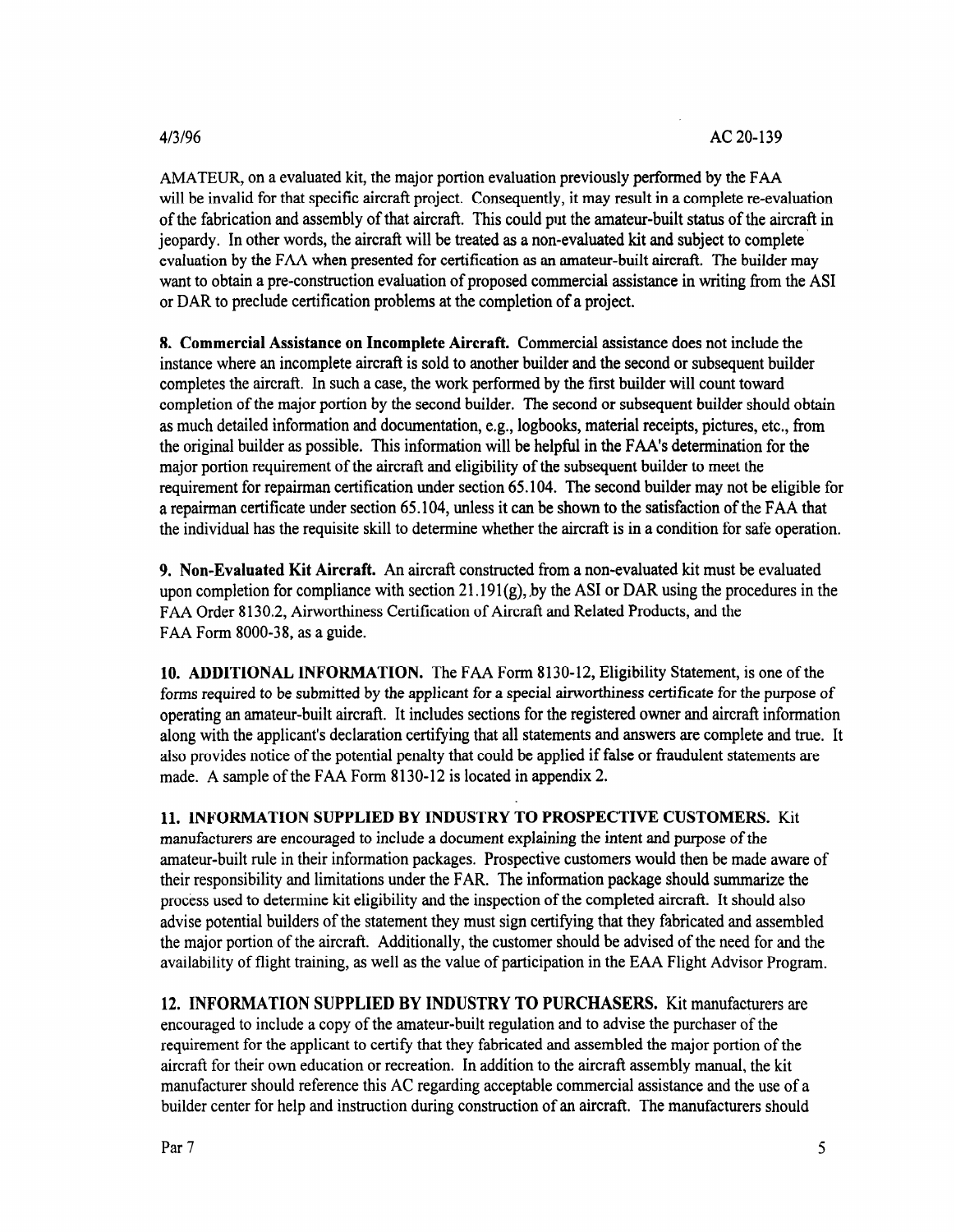#### 4/3/96

AMATEUR, on a evaluated kit, the major portion evaluation previously performed by the FAA will be invalid for that specific aircraft project. Consequently, it may result in a complete re-evaluation of the fabrication and assembly of that aircraft. This could put the amateur-built status of the aircraft in jeopardy. In other words, the aircraft will be treated as a non-evaluated kit and subject to complete evaluation by the FAA when presented for certification as an amateur-built aircraft. The builder may want to obtain a pre-construction evaluation of proposed commercial assistance in writing from the AS1 or DAR to preclude certification problems at the completion of a project.

8, Commercial Assistance on Incomplete Aircraft. Commercial assistance does not include the instance where an incomplete aircraft is sold to another builder and the second or subsequent builder completes the aircraft. In such a case, the work performed by the first builder will count toward completion of the major portion by the second builder. The second or subsequent builder should obtain as much detailed information and documentation, e.g., logbooks, material receipts, pictures, etc., from the original builder as possible. This information will be helpful in the FAA's determination for the major portion requirement of the aircraft and eligibility of the subsequent builder to meet the requirement for repairman certification under section 65.104. The second builder may not be eligible for a repairman certificate under section 65.104, unless it can be shown to the satisfaction of the FAA that the individual has the requisite skill to determine whether the aircraft is in a condition for safe operation.

9. Non-Evaluated Kit Aircraft. An aircraft constructed from a non-evaluated kit must be evaluated upon completion for compliance with section 21.191 $(g)$ , by the ASI or DAR using the procedures in the FAA Order 8130.2, Airworthiness Certification of Aircraft and Related Products, and the FAA Form 8000-38, as a guide.

10. ADDITIONAL INFORMATION. The FAA Form 8130-12, Eligibility Statement, is one of the forms required to be submitted by the applicant for a special airworthiness certificate for the purpose of operating an amateur-built aircraft. It includes sections for the registered owner and aircraft information along with the applicant's declaration certifying that all statements and answers are complete and true. It also provides notice of the potential penalty that could be applied if false or fraudulent statements are made. A sample of the FAA Form 8130-12 is located in appendix 2.

11. INFORMATION SUPPLIED BY INDUSTRY TO PROSPECTIVE CUSTOMERS. Kit manufacturers are encouraged to include a document explaining the intent and purpose of the amateur-built rule in their information packages. Prospective customers would then be made aware of their responsibility and limitations under the FAR. The information package should summarize the process used to determine kit eligibility and the inspection of the completed aircraft. It should also advise potential builders of the statement they must sign certifying that they fabricated and assembled the major portion of the aircraft. Additionally, the customer should be advised of the need for and the availability of flight training, as well as the value of participation in the EAA Flight Advisor Program.

12. INFORMATION SUPPLIED BY INDUSTRY TO PURCHASERS. Kit manufacturers are encouraged to include a copy of the amateur-built regulation and to advise the purchaser of the requirement for the applicant to certify that they fabricated and assembled the major portion of the aircraft for their own education or recreation. In addition to the aircraft assembly manual, the kit manufacturer should reference this AC regarding acceptable commercial assistance and the use of a builder center for help and instruction during construction of an aircraft. The manufacturers should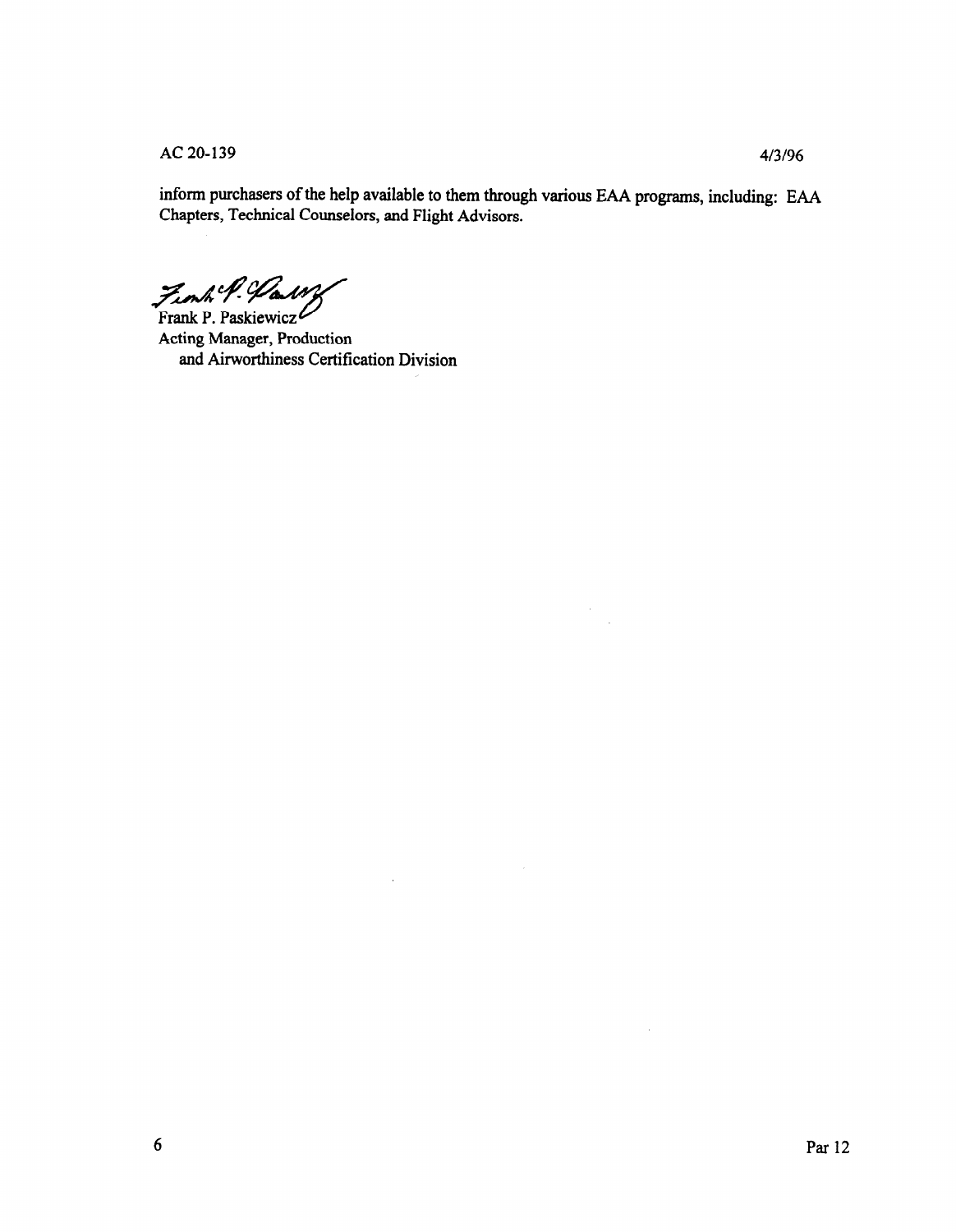AC 20-139 4/3/96

inform purchasers of the help available to them through various EAA programs, including: EAA Chapters, Technical Counselors, and Flight Advisors.

 $\bar{\tau}$ 

 $\bar{z}$ 

Finh P. Harry  $\mathcal{F}_{\text{Frank P.} \text{Paskiewicz}}$ 

Acting Manager, Production and Airworthiness Certification Division

 $\overline{a}$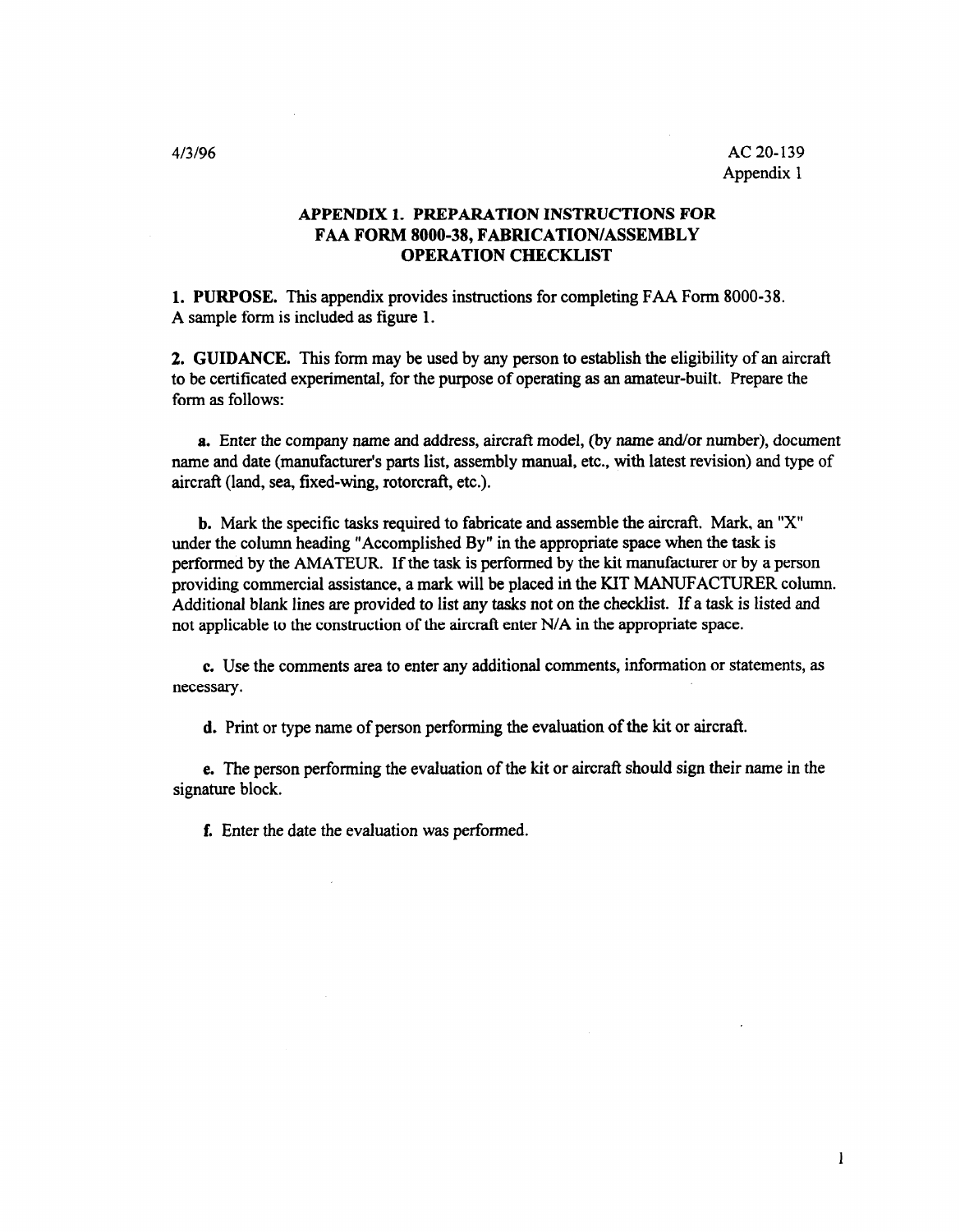#### APPENDIX 1. PREPARATION INSTRUCTIONS FOR FAA FORM 8000-38, FABRICATION/ASSEMBLY OPERATION CHECKLIST

1. PURPOSE. This appendix provides instructions for completing FAA Form 8000-38. A sample form is included as figure 1.

2. GUIDANCE. This form may be used by any person to establish the eligibility of an aircraft to be certificated experimental, for the purpose of operating as an amateur-built. Prepare the form as follows:

a. Enter the company name and address, aircraft model, (by name and/or number), document name and date (manufacturer's parts list, assembly manual, etc., with latest revision) and type of aircraft (land, sea, fixed-wing, rotorcraft, etc.).

b. Mark the specific tasks required to fabricate and assemble the aircraft. Mark, an "x" under the column heading "Accomplished By" in the appropriate space when the task is performed by the AMATEUR. If the task is performed by the kit manufacturer or by a person providing commercial assistance, a mark will be placed in the KIT MANUFACTURER column. Additional blank lines are provided to list any tasks not on the checklist. If a task is listed and not applicable to the construction of the aircraft enter N/A in the appropriate space.

c. Use the comments area to enter any additional comments, information or statements, as necessary.

d. Print or type name of person performing the evaluation of the kit or aircraft.

e. The person performing the evaluation of the kit or aircraft should sign their name in the signature block.

f. Enter the date the evaluation was performed.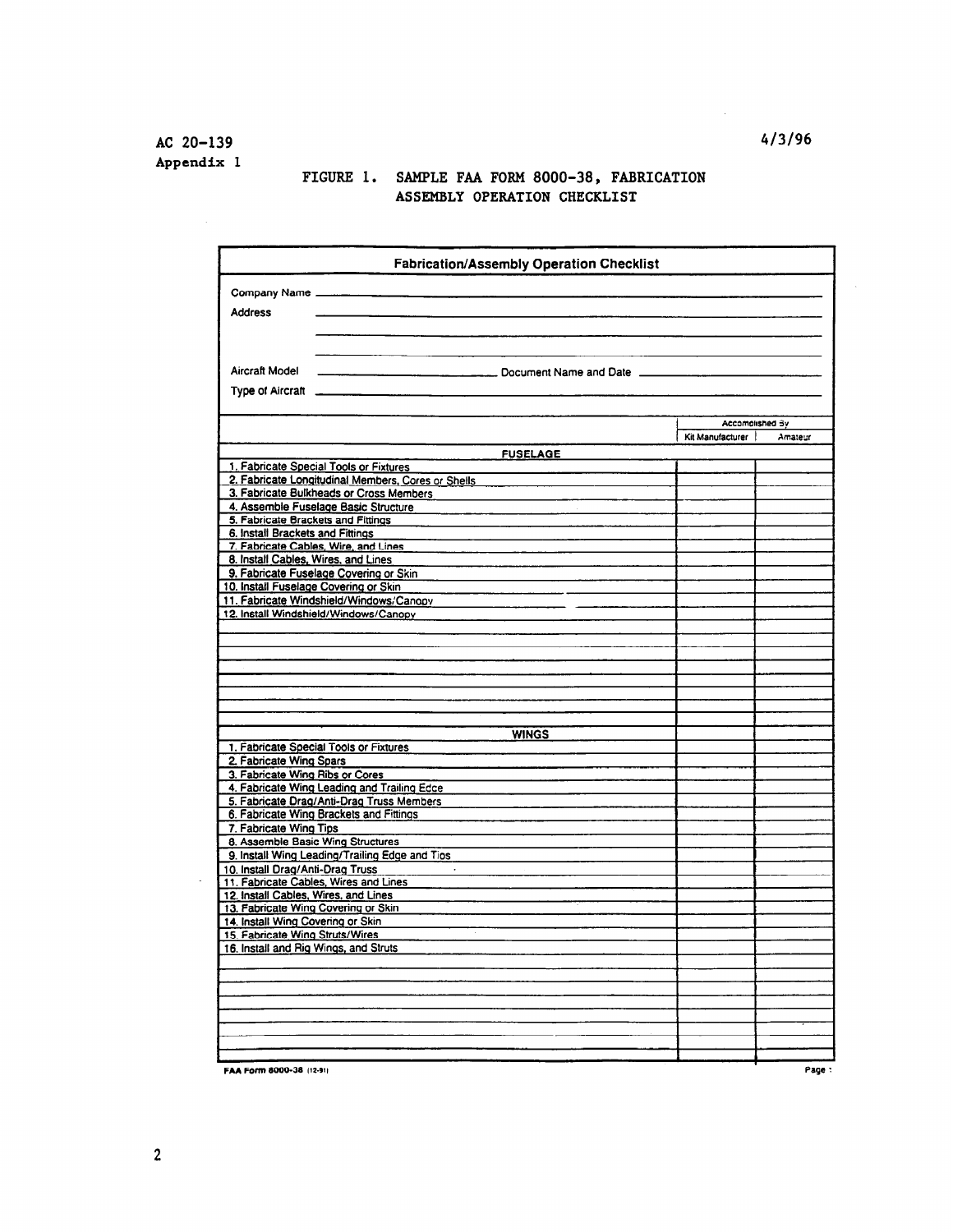### FIGURE 1. SAMPLE FAA FORM 8000-38, FABRICATION ASSEMBLY OPERATION CHECKLIST

|                                                                           | <b>Fabrication/Assembly Operation Checklist</b>                                          |                  |         |
|---------------------------------------------------------------------------|------------------------------------------------------------------------------------------|------------------|---------|
| Company Name                                                              |                                                                                          |                  |         |
|                                                                           |                                                                                          |                  |         |
| <b>Address</b>                                                            |                                                                                          |                  |         |
|                                                                           |                                                                                          |                  |         |
|                                                                           |                                                                                          |                  |         |
| Aircraft Model                                                            |                                                                                          |                  |         |
| Type of Aircraft                                                          |                                                                                          |                  |         |
|                                                                           |                                                                                          |                  |         |
|                                                                           |                                                                                          | Accomplished By  |         |
|                                                                           |                                                                                          | Kit Manufacturer | Amateur |
|                                                                           | <b>FUSELAGE</b>                                                                          |                  |         |
| 1. Fabricate Special Tools or Fixtures                                    |                                                                                          |                  |         |
|                                                                           | 2. Fabricate Longitudinal Members, Cores or Shells                                       |                  |         |
|                                                                           | 3. Fabricate Bulkheads or Cross Members                                                  |                  |         |
| 4. Assemble Fuselage Basic Structure                                      |                                                                                          |                  |         |
| 5. Fabricate Brackets and Fittings<br>6. Install Brackets and Fittings    |                                                                                          |                  |         |
| 7. Fabricate Cables, Wire, and Lines                                      |                                                                                          |                  |         |
| 8. Install Cables, Wires, and Lines                                       |                                                                                          |                  |         |
| 9. Fabricate Fuselage Covering or Skin                                    |                                                                                          |                  |         |
| 10. Install Fuselage Covering or Skin                                     |                                                                                          |                  |         |
|                                                                           | 11. Fabricate Windshield/Windows/Canopy                                                  |                  |         |
| 12. Install Windshield/Windows/Canopy                                     |                                                                                          |                  |         |
|                                                                           |                                                                                          |                  |         |
|                                                                           |                                                                                          |                  |         |
|                                                                           |                                                                                          |                  |         |
|                                                                           |                                                                                          |                  |         |
|                                                                           |                                                                                          |                  |         |
|                                                                           |                                                                                          |                  |         |
|                                                                           | <b>WINGS</b>                                                                             |                  |         |
| 1. Fabricate Special Tools or Fixtures                                    |                                                                                          |                  |         |
| 2. Fabricate Wing Spars                                                   |                                                                                          |                  |         |
| 3. Fabricate Wing Ribs or Cores                                           |                                                                                          |                  |         |
|                                                                           | 4. Fabricate Wing Leading and Trailing Edce<br>5. Fabricate Drag/Anti-Drag Truss Members |                  |         |
| 6. Fabricate Wing Brackets and Fittings                                   |                                                                                          |                  |         |
| 7. Fabricate Wing Tips                                                    |                                                                                          |                  |         |
| 8. Assemble Basic Wing Structures                                         |                                                                                          |                  |         |
|                                                                           | 9. Install Wing Leading/Trailing Edge and Tios                                           |                  |         |
| 10. Install Drag/Anti-Drag Truss<br>11. Fabricate Cables, Wires and Lines | $\sim$                                                                                   |                  |         |
| 12. Install Cables, Wires, and Lines                                      |                                                                                          |                  |         |
| 13. Fabricate Wing Covering or Skin                                       |                                                                                          |                  |         |
| 14. Install Wing Covering or Skin                                         |                                                                                          |                  |         |
| 15. Fabricate Wing Struts/Wires                                           |                                                                                          |                  |         |
| 16. Install and Rig Wings, and Struts                                     |                                                                                          |                  |         |
|                                                                           |                                                                                          |                  |         |
|                                                                           |                                                                                          |                  |         |
|                                                                           |                                                                                          |                  |         |
|                                                                           |                                                                                          |                  |         |
|                                                                           |                                                                                          |                  |         |
|                                                                           |                                                                                          |                  |         |
| FAA Form 8000-38 (12-91)                                                  |                                                                                          |                  | Page:   |

 $\mathcal{L}$ 

 $\mathcal{A}^{\mathcal{A}}$ 

 $\mathbb{Z}^2$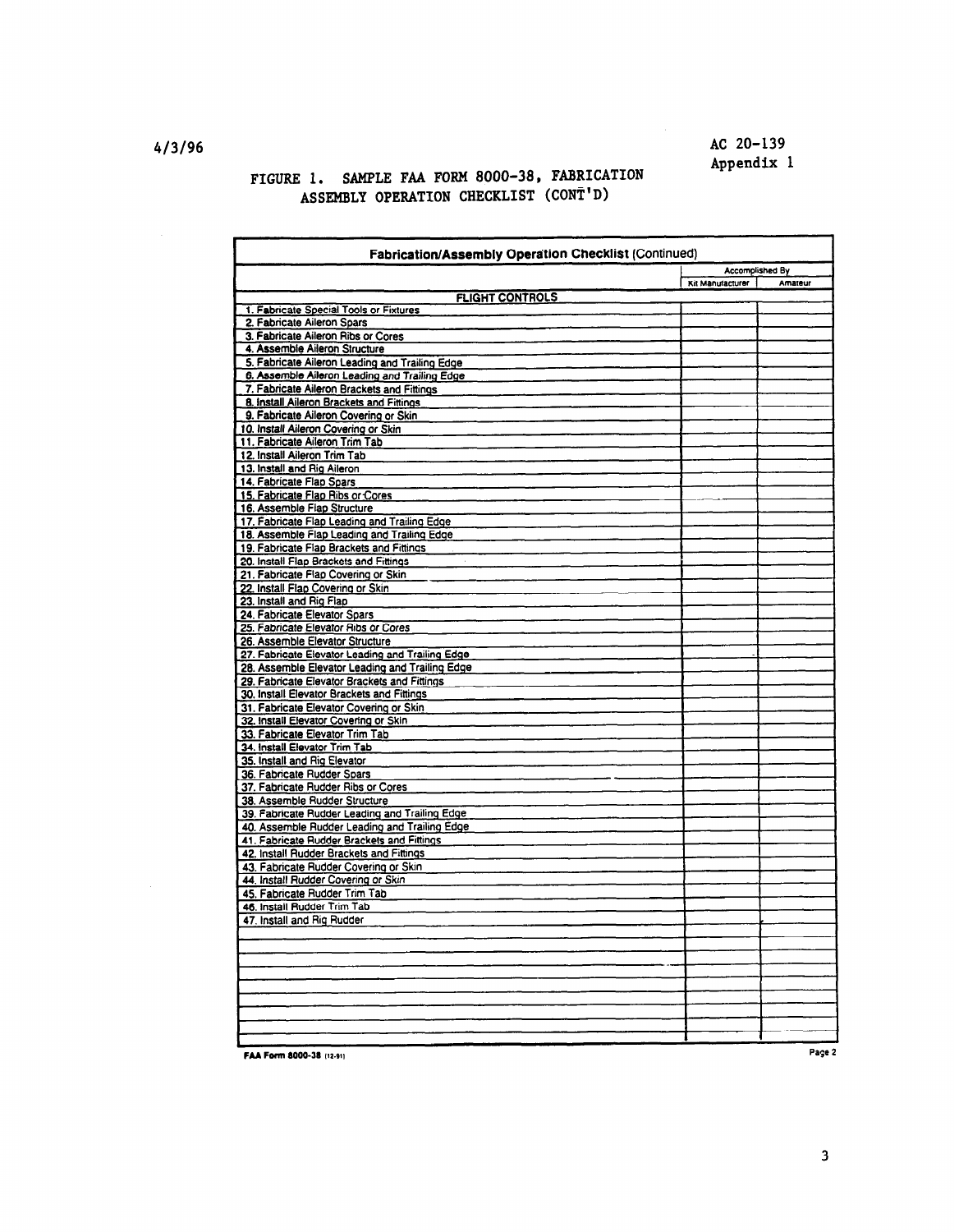# AC 20-139 Appendix 1

#### FIGURE 1. SAMPLE FAA FORM 8000-38, FABRICATION ASSEMBLY OPERATION CHECKLIST (CONT'D)

| Fabrication/Assembly Operation Checklist (Continued)                                   |                        |         |  |
|----------------------------------------------------------------------------------------|------------------------|---------|--|
|                                                                                        | <b>Accomplished By</b> |         |  |
|                                                                                        | Kit Manufacturer       | Amateur |  |
| <b>FLIGHT CONTROLS</b>                                                                 |                        |         |  |
| 1. Fabricate Special Tools or Fixtures                                                 |                        |         |  |
| 2. Fabricate Aileron Spars                                                             |                        |         |  |
| 3. Fabricate Aileron Ribs or Cores                                                     |                        |         |  |
| 4. Assemble Aileron Structure                                                          |                        |         |  |
| 5. Fabricate Aileron Leading and Trailing Edge                                         |                        |         |  |
| 6. Assemble Aileron Leading and Trailing Edge                                          |                        |         |  |
| 7. Fabricate Aileron Brackets and Fittings<br>8. Install Aileron Brackets and Fittings |                        |         |  |
|                                                                                        |                        |         |  |
| 9. Fabricate Aileron Covering or Skin<br>10. Install Aileron Covering or Skin          |                        |         |  |
| 11. Fabricate Aileron Trim Tab                                                         |                        |         |  |
| 12. Install Aileron Trim Tab                                                           |                        |         |  |
| 13. Install and Rig Aileron                                                            |                        |         |  |
| 14. Fabricate Flap Spars                                                               |                        |         |  |
| 15. Fabricate Flap Ribs or Cores                                                       |                        |         |  |
| 16. Assemble Flap Structure                                                            |                        |         |  |
| 17. Fabricate Flap Leading and Trailing Edge                                           |                        |         |  |
| 18. Assemble Flap Leading and Trailing Edge                                            |                        |         |  |
| 19. Fabricate Flap Brackets and Fittings                                               |                        |         |  |
| 20. Install Flap Brackets and Fittings                                                 |                        |         |  |
| 21. Fabricate Flap Covering or Skin                                                    |                        |         |  |
| 22. Install Flap Covering or Skin                                                      |                        |         |  |
| 23. Install and Rig Flap                                                               |                        |         |  |
| 24. Fabricate Elevator Spars                                                           |                        |         |  |
| 25. Fabricate Elevator Ribs or Cores                                                   |                        |         |  |
| 26. Assemble Elevator Structure                                                        |                        |         |  |
| 27. Fabricate Elevator Leading and Trailing Edge                                       |                        |         |  |
| 28. Assemble Elevator Leading and Trailing Edge                                        |                        |         |  |
| 29. Fabricate Elevator Brackets and Fittings                                           |                        |         |  |
| 30. Install Elevator Brackets and Fittings                                             |                        |         |  |
| 31. Fabricate Elevator Covering or Skin                                                |                        |         |  |
| 32. Install Elevator Covering or Skin                                                  |                        |         |  |
| 33. Fabricate Elevator Trim Tab                                                        |                        |         |  |
| 34. Install Elevator Trim Tab                                                          |                        |         |  |
| 35. Install and Rig Elevator                                                           |                        |         |  |
| 36. Fabricate Rudder Spars                                                             |                        |         |  |
| 37. Fabricate Rudder Ribs or Cores                                                     |                        |         |  |
| 38. Assemble Rudder Structure                                                          |                        |         |  |
| 39. Fabricate Rudder Leading and Trailing Edge                                         |                        |         |  |
| 40. Assemble Rudder Leading and Trailing Edge                                          |                        |         |  |
| 41. Fabricate Rudder Brackets and Fittings                                             |                        |         |  |
| 42. Install Rudder Brackets and Fittings                                               |                        |         |  |
| 43. Fabricate Rudder Covering or Skin                                                  |                        |         |  |
| 44. Install Rudder Covering or Skin                                                    |                        |         |  |
| 45. Fabricate Rudder Trim Tab                                                          |                        |         |  |
| 46. Install Rudder Trim Tab                                                            |                        |         |  |
| 47. Install and Rig Rudder                                                             |                        |         |  |
|                                                                                        |                        |         |  |
|                                                                                        |                        |         |  |
|                                                                                        |                        |         |  |
|                                                                                        |                        |         |  |
|                                                                                        |                        |         |  |
|                                                                                        |                        |         |  |
|                                                                                        |                        |         |  |
|                                                                                        |                        |         |  |
|                                                                                        |                        |         |  |
| FAA Form 8000-38 (12-91)                                                               |                        | Page 2  |  |

413196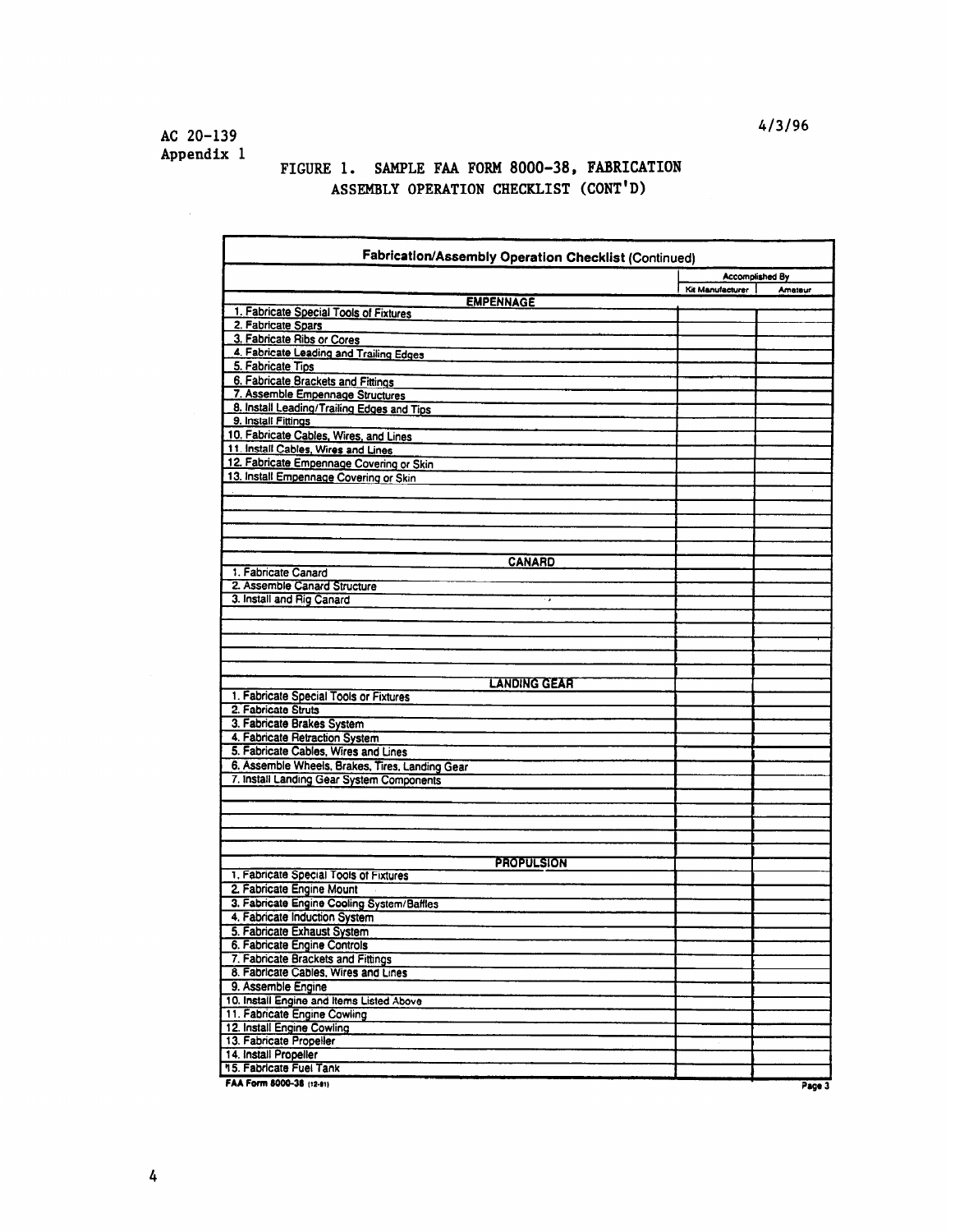# FIGURE 1. SAMPLE FAA FORM 8000-38, FABRICATION ASSEMBLY OPERATION CHECKLIST (CONT'D)

| Fabrication/Assembly Operation Checklist (Continued)       |                  |                        |
|------------------------------------------------------------|------------------|------------------------|
|                                                            |                  | <b>Accomplished By</b> |
|                                                            | Kit Manufacturer | Amateur                |
| <b>EMPENNAGE</b><br>1. Fabricate Special Tools of Fixtures |                  |                        |
| 2. Fabricate Spars                                         |                  |                        |
| 3. Fabricate Ribs or Cores                                 |                  |                        |
| 4. Fabricate Leading and Trailing Edges                    |                  |                        |
| 5. Fabricate Tips                                          |                  |                        |
| 6. Fabricate Brackets and Fittings                         |                  |                        |
| 7. Assemble Empennage Structures                           |                  |                        |
| 8. Install Leading/Trailing Edges and Tips                 |                  |                        |
| 9. Install Fittings                                        |                  |                        |
| 10. Fabricate Cables, Wires, and Lines                     |                  |                        |
| 11. Install Cables, Wires and Lines                        |                  |                        |
| 12. Fabricate Empennage Covering or Skin                   |                  |                        |
| 13. Install Empennage Covering or Skin                     |                  |                        |
|                                                            |                  |                        |
|                                                            |                  |                        |
|                                                            |                  |                        |
|                                                            |                  |                        |
|                                                            |                  |                        |
| <b>CANARD</b>                                              |                  |                        |
| 1. Fabricate Canard                                        |                  |                        |
| 2. Assemble Canard Structure                               |                  |                        |
| 3. Install and Rig Canard                                  |                  |                        |
|                                                            |                  |                        |
|                                                            |                  |                        |
|                                                            |                  |                        |
|                                                            |                  |                        |
| <b>LANDING GEAR</b>                                        |                  |                        |
| 1. Fabricate Special Tools or Fixtures                     |                  |                        |
| 2. Fabricate Struts                                        |                  |                        |
| 3. Fabricate Brakes System                                 |                  |                        |
| 4. Fabricate Retraction System                             |                  |                        |
| 5. Fabricate Cables, Wires and Lines                       |                  |                        |
| 6. Assemble Wheels, Brakes, Tires, Landing Gear            |                  |                        |
| 7. Install Landing Gear System Components                  |                  |                        |
|                                                            |                  |                        |
|                                                            |                  |                        |
|                                                            |                  |                        |
|                                                            |                  |                        |
|                                                            |                  |                        |
| <b>PROPULSION</b>                                          |                  |                        |
| 1. Fabricate Special Tools of Fixtures                     |                  |                        |
| 2. Fabricate Engine Mount                                  |                  |                        |
| 3. Fabricate Engine Cooling System/Baffles                 |                  |                        |
| 4. Fabricate Induction System                              |                  |                        |
| 5. Fabricate Exhaust System                                |                  |                        |
| 6. Fabricate Engine Controls                               |                  |                        |
| 7. Fabricate Brackets and Fittings                         |                  |                        |
| 8. Fabricate Cables, Wires and Lines                       |                  |                        |
| 9. Assemble Engine                                         |                  |                        |
| 10. Install Engine and Items Listed Above                  |                  |                        |
| 11. Fabricate Engine Cowling                               |                  |                        |
| 12. Install Engine Cowling                                 |                  |                        |
| 13. Fabricate Propeller<br>14. Install Propeller           |                  |                        |
| 15. Fabricate Fuel Tank                                    |                  |                        |
|                                                            |                  |                        |
| FAA Form 8000-38 (12-91)                                   |                  | Page 3                 |

413196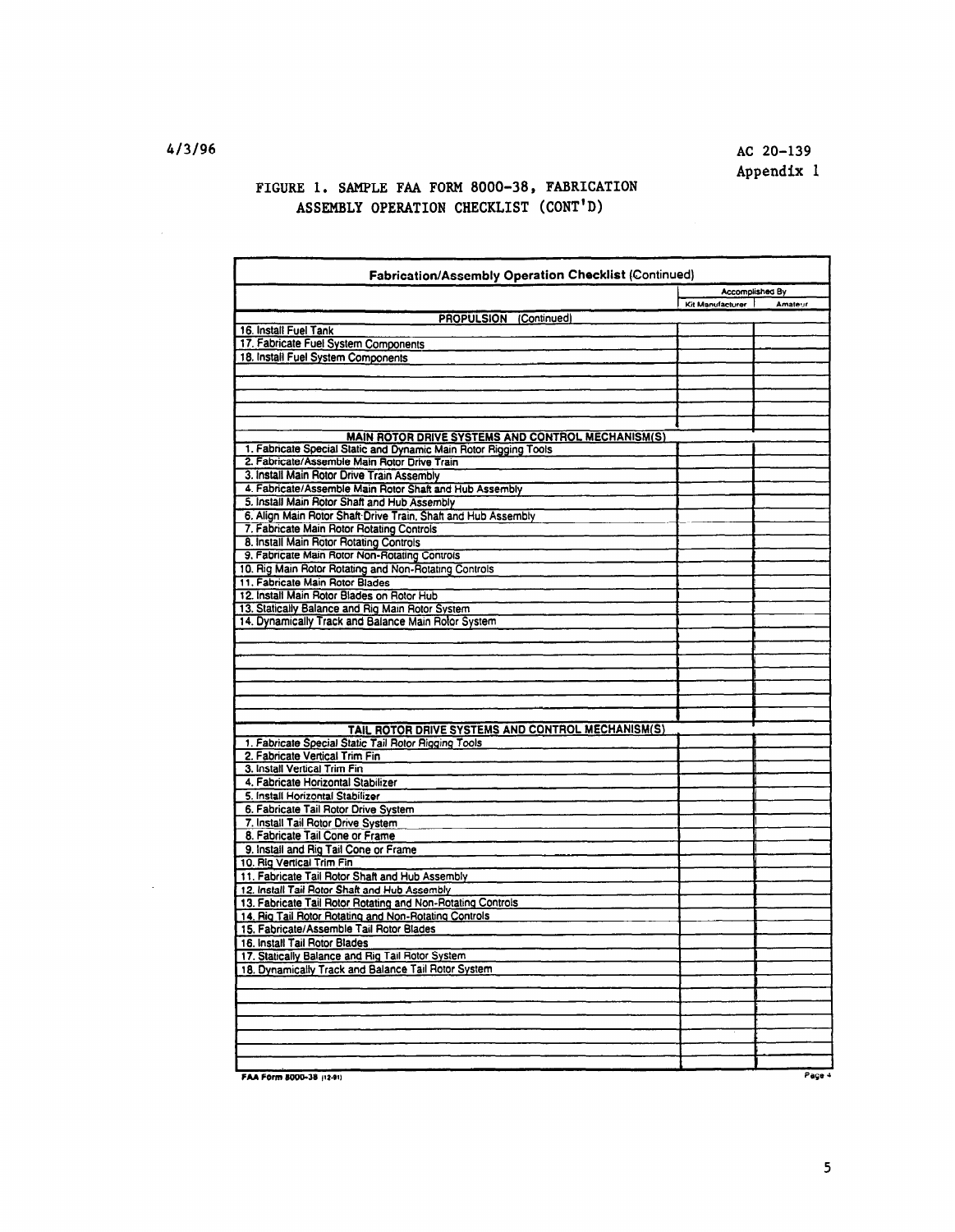# FIGURE 1. SAMPLE FAA FORM 8000-38, FABRICATION ASSEMBLY OPERATION CHECKLIST (CONT'D)

| Fabrication/Assembly Operation Checklist (Continued)                                                             |                        |         |  |
|------------------------------------------------------------------------------------------------------------------|------------------------|---------|--|
|                                                                                                                  | <b>Accomplished By</b> |         |  |
|                                                                                                                  | Kit Manufacturer       | Amateur |  |
| <b>PROPULSION (Continued)</b>                                                                                    |                        |         |  |
| 16. Install Fuel Tank<br>17. Fabricate Fuel System Components                                                    |                        |         |  |
| 18. Install Fuel System Components                                                                               |                        |         |  |
|                                                                                                                  |                        |         |  |
|                                                                                                                  |                        |         |  |
|                                                                                                                  |                        |         |  |
|                                                                                                                  |                        |         |  |
|                                                                                                                  |                        |         |  |
| <b>MAIN ROTOR DRIVE SYSTEMS AND CONTROL MECHANISM(S)</b>                                                         |                        |         |  |
| 1. Fabricate Special Static and Dynamic Main Rotor Rigging Tools<br>2. Fabricate/Assemble Main Rotor Drive Train |                        |         |  |
| 3. Install Main Rotor Drive Train Assembly                                                                       |                        |         |  |
| 4. Fabricate/Assemble Main Rotor Shaft and Hub Assembly                                                          |                        |         |  |
| 5. Install Main Rotor Shaft and Hub Assembly                                                                     |                        |         |  |
| 6. Align Main Rotor Shaft Drive Train, Shaft and Hub Assembly                                                    |                        |         |  |
| 7. Fabricate Main Rotor Rotating Controls                                                                        |                        |         |  |
| 8. Install Main Rotor Rotating Controls                                                                          |                        |         |  |
| 9. Fabricate Main Rotor Non-Rotating Controls                                                                    |                        |         |  |
| 10. Rig Main Rotor Rotating and Non-Rotating Controls                                                            |                        |         |  |
| 11. Fabricate Main Rotor Blades                                                                                  |                        |         |  |
| 12. Install Main Rotor Blades on Rotor Hub                                                                       |                        |         |  |
| 13. Statically Balance and Rig Main Rotor System                                                                 |                        |         |  |
| 14. Dynamically Track and Balance Main Rotor System                                                              |                        |         |  |
|                                                                                                                  |                        |         |  |
|                                                                                                                  |                        |         |  |
|                                                                                                                  |                        |         |  |
|                                                                                                                  |                        |         |  |
|                                                                                                                  |                        |         |  |
|                                                                                                                  |                        |         |  |
| TAIL ROTOR DRIVE SYSTEMS AND CONTROL MECHANISM(S)                                                                |                        |         |  |
| 1. Fabricate Special Static Tail Rotor Rigging Tools                                                             |                        |         |  |
| 2. Fabricate Vertical Trim Fin                                                                                   |                        |         |  |
| 3. Install Vertical Trim Fin                                                                                     |                        |         |  |
| 4. Fabricate Horizontal Stabilizer<br>5. Install Horizontal Stabilizer                                           |                        |         |  |
| 6. Fabricate Tail Rotor Drive System                                                                             |                        |         |  |
| 7. Install Tail Rotor Drive System                                                                               |                        |         |  |
| 8. Fabricate Tail Cone or Frame                                                                                  |                        |         |  |
| 9. Install and Rig Tail Cone or Frame                                                                            |                        |         |  |
| 10. Rig Vertical Trim Fin                                                                                        |                        |         |  |
| 11. Fabricate Tail Rotor Shaft and Hub Assembly                                                                  |                        |         |  |
| 12. Install Tail Rotor Shaft and Hub Assembly                                                                    |                        |         |  |
| 13. Fabricate Tail Rotor Rotating and Non-Rotating Controls                                                      |                        |         |  |
| 14. Rig Tail Rotor Rotating and Non-Rotating Controls                                                            |                        |         |  |
| 15. Fabricate/Assemble Tail Rotor Blades                                                                         |                        |         |  |
| 16. Install Tail Rotor Blades<br>17. Statically Balance and Rig Tail Rotor System                                |                        |         |  |
| 18. Dynamically Track and Balance Tail Rotor System                                                              |                        |         |  |
|                                                                                                                  |                        |         |  |
|                                                                                                                  |                        |         |  |
|                                                                                                                  |                        |         |  |
|                                                                                                                  |                        |         |  |
|                                                                                                                  |                        |         |  |
|                                                                                                                  |                        |         |  |
|                                                                                                                  |                        |         |  |
| FAA Form 8000-38 (12-91)                                                                                         |                        | Page 4  |  |

 $\sim$  .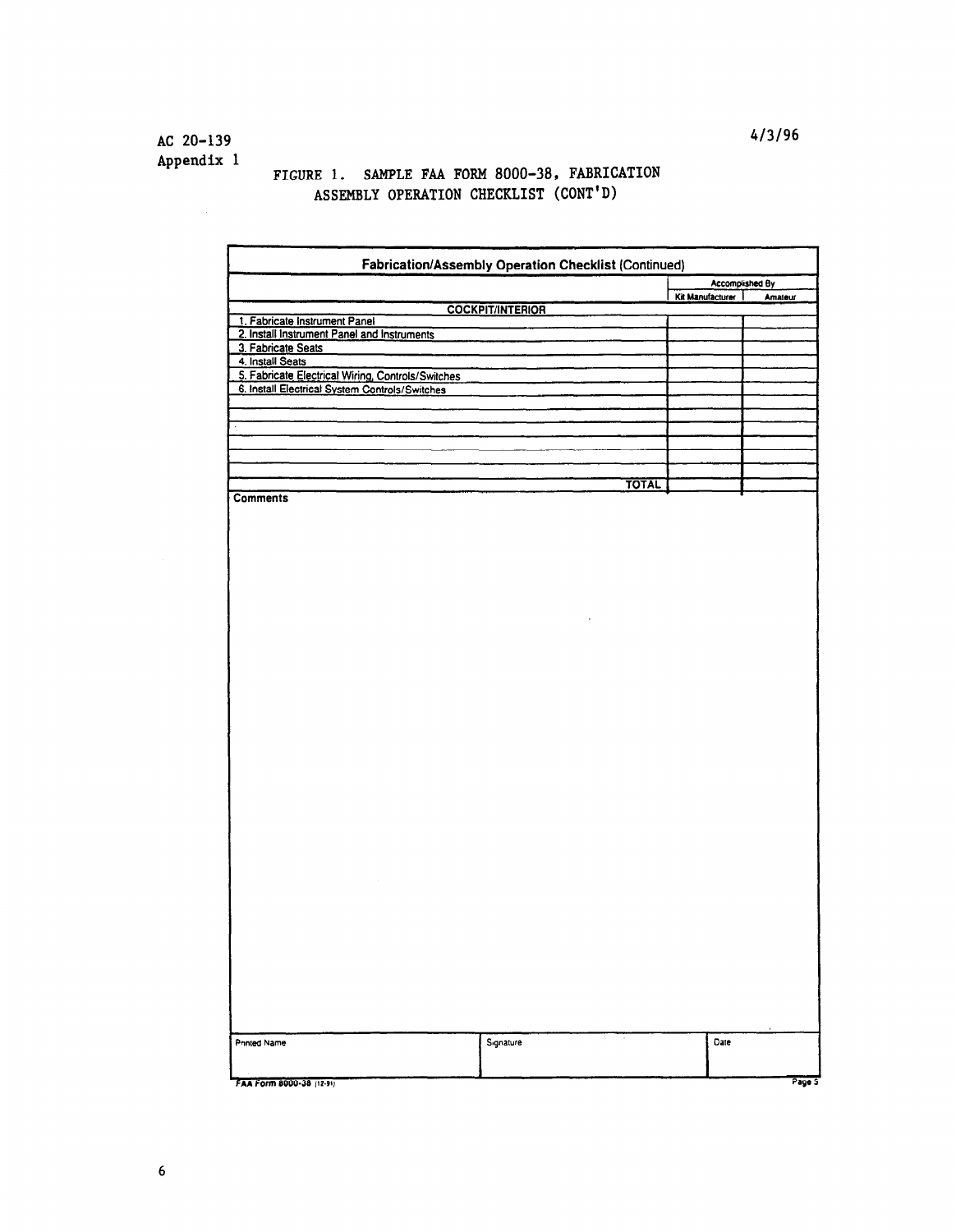AC 20-139 Appendix 1

# FIGURE 1. SAMPLE FAA FORM 8000-38, FABRICATION ASSEMBLY OPERATION CHECKLIST (CONT'D)

|                                                                       | Fabrication/Assembly Operation Checklist (Continued) |                  |                 |
|-----------------------------------------------------------------------|------------------------------------------------------|------------------|-----------------|
|                                                                       |                                                      |                  | Accomplished By |
|                                                                       | <b>COCKPIT/INTERIOR</b>                              | Kit Manufacturer | Amateur         |
| 1. Fabricate Instrument Panel                                         |                                                      |                  |                 |
| 2. Install Instrument Panel and Instruments                           |                                                      |                  |                 |
| 3. Fabricate Seats                                                    |                                                      |                  |                 |
| 4. Install Seats<br>5. Fabricate Electrical Wiring, Controls/Switches |                                                      |                  |                 |
| 6. Install Electrical System Controls/Switches                        |                                                      |                  |                 |
|                                                                       |                                                      |                  |                 |
|                                                                       |                                                      |                  |                 |
|                                                                       |                                                      |                  |                 |
|                                                                       |                                                      |                  |                 |
|                                                                       |                                                      |                  |                 |
|                                                                       | <b>TOTAL</b>                                         |                  |                 |
| <b>Comments</b>                                                       |                                                      |                  |                 |
|                                                                       |                                                      |                  |                 |
|                                                                       |                                                      |                  |                 |
|                                                                       |                                                      |                  |                 |
|                                                                       |                                                      |                  |                 |
|                                                                       |                                                      |                  |                 |
|                                                                       |                                                      |                  |                 |
|                                                                       |                                                      |                  |                 |
|                                                                       |                                                      |                  |                 |
|                                                                       |                                                      |                  |                 |
|                                                                       |                                                      |                  |                 |
|                                                                       |                                                      |                  |                 |
|                                                                       |                                                      |                  |                 |
|                                                                       |                                                      |                  |                 |
|                                                                       |                                                      |                  |                 |
|                                                                       |                                                      |                  |                 |
|                                                                       |                                                      |                  |                 |
|                                                                       |                                                      |                  |                 |
|                                                                       |                                                      |                  |                 |
|                                                                       |                                                      |                  |                 |
|                                                                       |                                                      |                  |                 |
|                                                                       |                                                      |                  |                 |
|                                                                       |                                                      |                  |                 |
|                                                                       |                                                      |                  |                 |
|                                                                       |                                                      |                  |                 |
|                                                                       |                                                      |                  |                 |
|                                                                       |                                                      |                  |                 |
|                                                                       |                                                      |                  |                 |
|                                                                       |                                                      |                  |                 |
|                                                                       |                                                      |                  |                 |
|                                                                       |                                                      |                  |                 |
|                                                                       |                                                      |                  |                 |
|                                                                       |                                                      |                  |                 |
|                                                                       |                                                      |                  |                 |
| Printed Name                                                          | $\cdot$<br>Signature                                 | Date             |                 |
|                                                                       |                                                      |                  |                 |
|                                                                       |                                                      |                  |                 |
| FAA Form 8000-38 (12-91)                                              |                                                      |                  | Page 5          |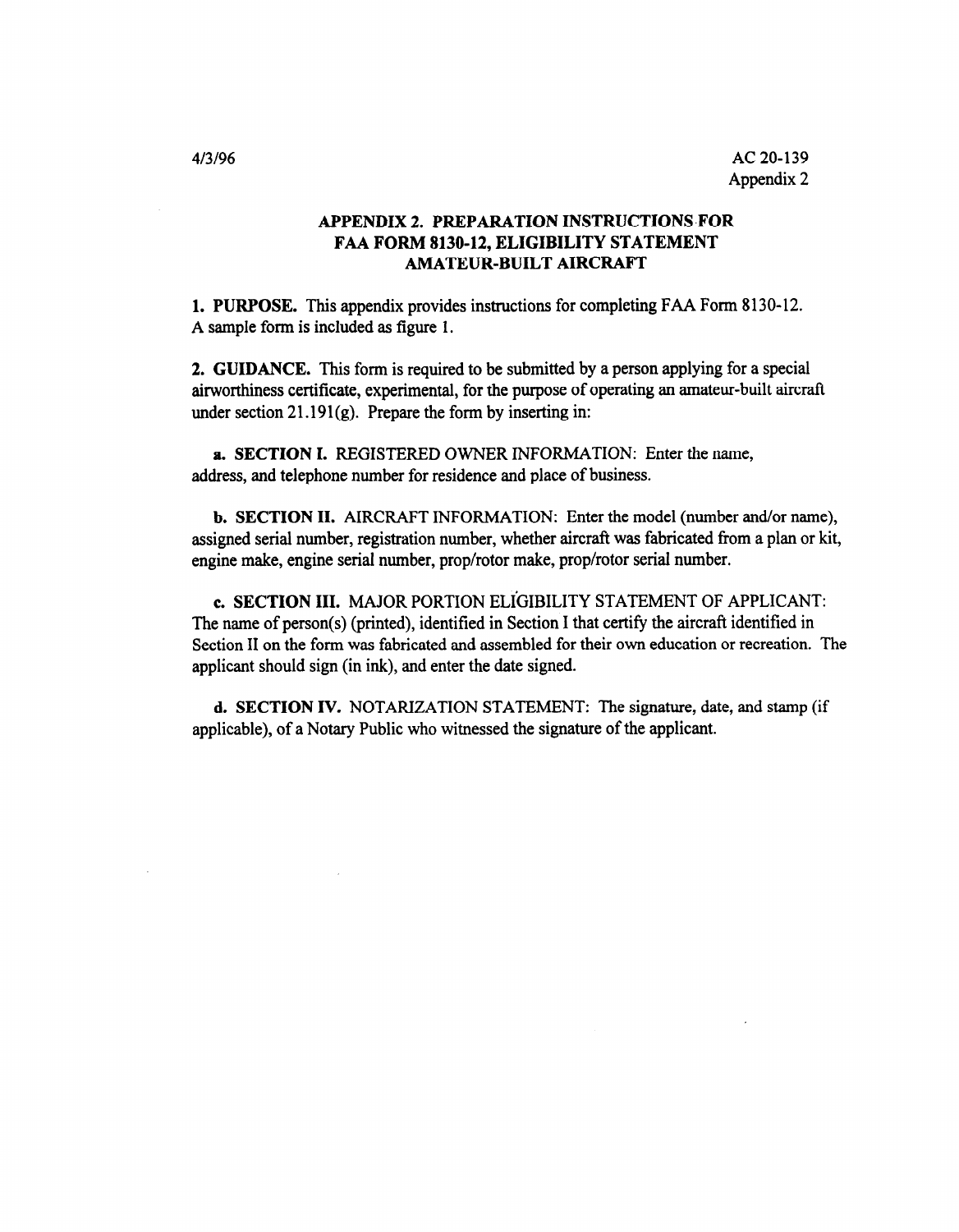# APPENDIX 2. PREPARATION INSTRUCTIONS-FOR FAA FORM 8130-12, ELIGIBILITY STATEMENT AMATEUR-BUILT AIRCRAFT

1. PURPOSE. This appendix provides instructions for completing FAA Form 8130-12. A sample form is included as figure 1.

2. GUIDANCE. This form is required to be submitted by a person applying for a special airworthiness certificate, experimental, for the purpose of operating an amateur-built aircraft under section  $21.191(g)$ . Prepare the form by inserting in:

a. SECTION I. REGISTERED OWNER INFORMATION: Enter the name, address, and telephone number for residence and place of business.

b. SECTION II. AIRCRAFT INFORMATION: Enter the model (number and/or name), assigned serial number, registration number, whether aircraft was fabricated from a plan or kit, engine make, engine serial number, prop/rotor make, prop/rotor serial number.

c. SECTION III. MAJOR PORTION ELiGIBILITY STATEMENT OF APPLICANT: The name of person(s) (printed), identified in Section I that certify the aircraft identified in Section II on the form was fabricated and assembled for their own education or recreation. The applicant should sign (in ink), and enter the date signed.

d. SECTION IV. NOTARIZATION STATEMENT: The signature, date, and stamp (if applicable), of a Notary Public who witnessed the signature of the applicant.